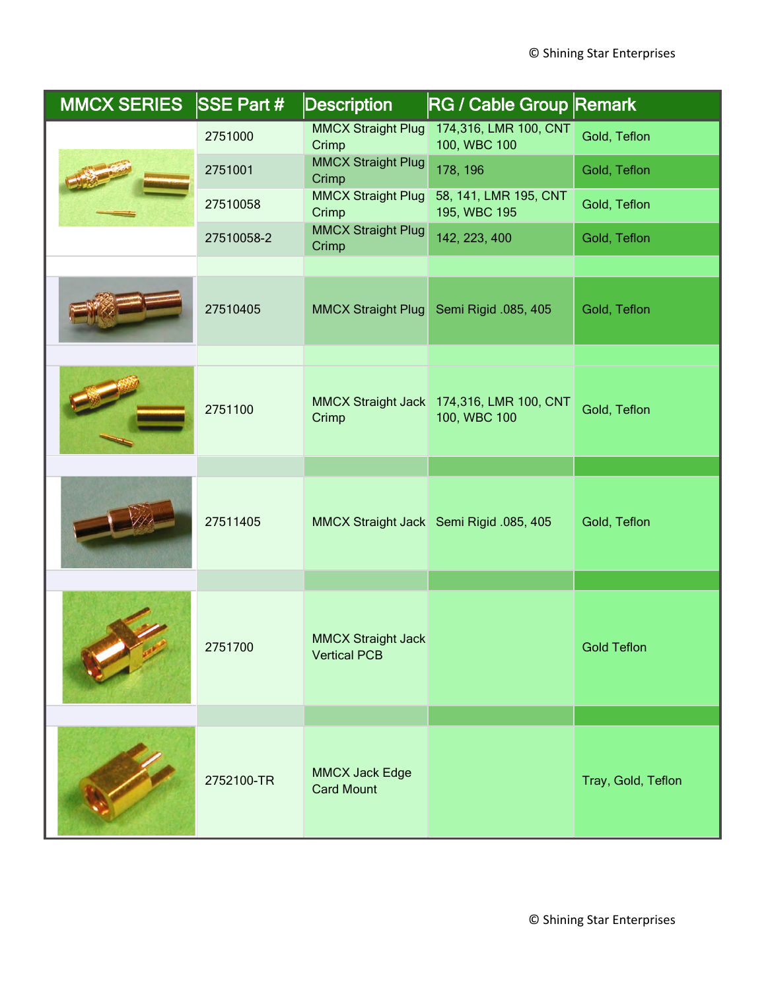| <b>MMCX SERIES</b> | $SSE$ Part # | <b>Description</b>                               | <b>RG / Cable Group Remark</b>                           |                    |
|--------------------|--------------|--------------------------------------------------|----------------------------------------------------------|--------------------|
|                    | 2751000      | <b>MMCX Straight Plug</b><br>Crimp               | 174,316, LMR 100, CNT<br>100, WBC 100                    | Gold, Teflon       |
|                    | 2751001      | <b>MMCX Straight Plug</b><br>Crimp               | 178, 196                                                 | Gold, Teflon       |
|                    | 27510058     | <b>MMCX Straight Plug</b><br>Crimp               | 58, 141, LMR 195, CNT<br>195, WBC 195                    | Gold, Teflon       |
|                    | 27510058-2   | <b>MMCX Straight Plug</b><br>Crimp               | 142, 223, 400                                            | Gold, Teflon       |
|                    |              |                                                  |                                                          |                    |
|                    | 27510405     | MMCX Straight Plug                               | Semi Rigid .085, 405                                     | Gold, Teflon       |
|                    |              |                                                  |                                                          |                    |
|                    | 2751100      | Crimp                                            | MMCX Straight Jack 174,316, LMR 100, CNT<br>100, WBC 100 | Gold, Teflon       |
|                    |              |                                                  |                                                          |                    |
|                    | 27511405     |                                                  | MMCX Straight Jack Semi Rigid .085, 405                  | Gold, Teflon       |
|                    |              |                                                  |                                                          |                    |
|                    | 2751700      | <b>MMCX Straight Jack</b><br><b>Vertical PCB</b> |                                                          | <b>Gold Teflon</b> |
|                    |              |                                                  |                                                          |                    |
|                    | 2752100-TR   | <b>MMCX Jack Edge</b><br><b>Card Mount</b>       |                                                          | Tray, Gold, Teflon |